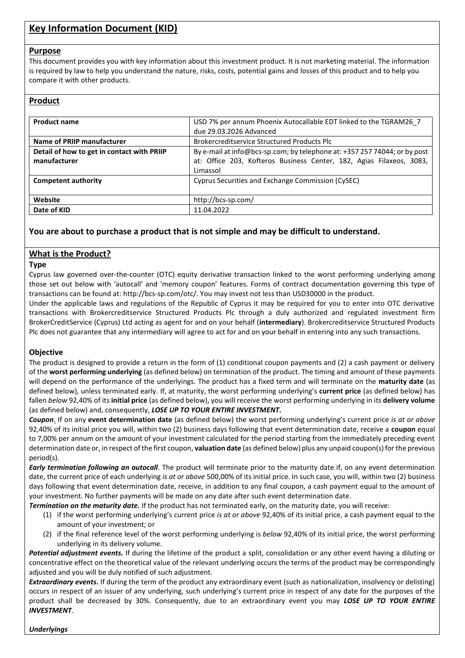# **Key Information Document (KID)**

#### **Purpose**

This document provides you with key information about this investment product. It is not marketing material. The information is required by law to help you understand the nature, risks, costs, potential gains and losses of this product and to help you compare it with other products.

# **Product**

| <b>Product name</b>                        | USD 7% per annum Phoenix Autocallable EDT linked to the TGRAM26 7         |
|--------------------------------------------|---------------------------------------------------------------------------|
|                                            | due 29.03.2026 Advanced                                                   |
| Name of PRIIP manufacturer                 | <b>Brokercreditservice Structured Products Plc</b>                        |
| Detail of how to get in contact with PRIIP | By e-mail at info@bcs-sp.com; by telephone at: +357 257 74044; or by post |
| manufacturer                               | at: Office 203, Kofteros Business Center, 182, Agias Filaxeos, 3083,      |
|                                            | Limassol                                                                  |
| <b>Competent authority</b>                 | Cyprus Securities and Exchange Commission (CySEC)                         |
|                                            |                                                                           |
| Website                                    | http://bcs-sp.com/                                                        |
| Date of KID                                | 11.04.2022                                                                |

# **You are about to purchase a product that is not simple and may be difficult to understand.**

# **What is the Product?**

#### **Type**

Cyprus law governed over-the-counter (OTC) equity derivative transaction linked to the worst performing underlying among those set out below with 'autocall' and 'memory coupon' features. Forms of contract documentation governing this type of transactions can be found at: http://bcs-sp.com/otc/. You may invest not less than USD30000 in the product.

Under the applicable laws and regulations of the Republic of Cyprus it may be required for you to enter into OTC derivative transactions with Brokercreditservice Structured Products Plc through a duly authorized and regulated investment firm BrokerCreditService (Cyprus) Ltd acting as agent for and on your behalf (**intermediary**). Brokercreditservice Structured Products Plc does not guarantee that any intermediary will agree to act for and on your behalf in entering into any such transactions.

#### **Objective**

The product is designed to provide a return in the form of (1) conditional coupon payments and (2) a cash payment or delivery of the **worst performing underlying** (as defined below) on termination of the product. The timing and amount of these payments will depend on the performance of the underlyings. The product has a fixed term and will terminate on the **maturity date** (as defined below), unless terminated early. If, at maturity, the worst performing underlying's **current price** (as defined below) has fallen *below* 92,40% of its **initial price** (as defined below), you will receive the worst performing underlying in its **delivery volume** (as defined below) and, consequently, *LOSE UP TO YOUR ENTIRE INVESTMENT***.**

*Coupon*. If on any **event determination date** (as defined below) the worst performing underlying's current price *is at or above* 92,40% of its initial price you will, within two (2) business days following that event determination date, receive a **coupon** equal to 7,00% per annum on the amount of your investment calculated for the period starting from the immediately preceding event determination date or, in respect of the first coupon, **valuation date** (as defined below) plus any unpaid coupon(s) for the previous period(s).

*Early termination following an autocall*. The product will terminate prior to the maturity date if, on any event determination date, the current price of each underlying *is at or above* 500,00% of its initial price. In such case, you will, within two (2) business days following that event determination date, receive, in addition to any final coupon, a cash payment equal to the amount of your investment. No further payments will be made on any date after such event determination date.

*Termination on the maturity date.* If the product has not terminated early, on the maturity date, you will receive:

- (1) if the worst performing underlying's current price *is at or above* 92,40% of its initial price, a cash payment equal to the amount of your investment; or
- (2) if the final reference level of the worst performing underlying is *below* 92,40% of its initial price, the worst performing underlying in its delivery volume.

*Potential adjustment events.* If during the lifetime of the product a split, consolidation or any other event having a diluting or concentrative effect on the theoretical value of the relevant underlying occurs the terms of the product may be correspondingly adjusted and you will be duly notified of such adjustment.

*Extraordinary events***.** If during the term of the product any extraordinary event (such as nationalization, insolvency or delisting) occurs in respect of an issuer of any underlying, such underlying's current price in respect of any date for the purposes of the product shall be decreased by 30%. Consequently, due to an extraordinary event you may *LOSE UP TO YOUR ENTIRE INVESTMENT*.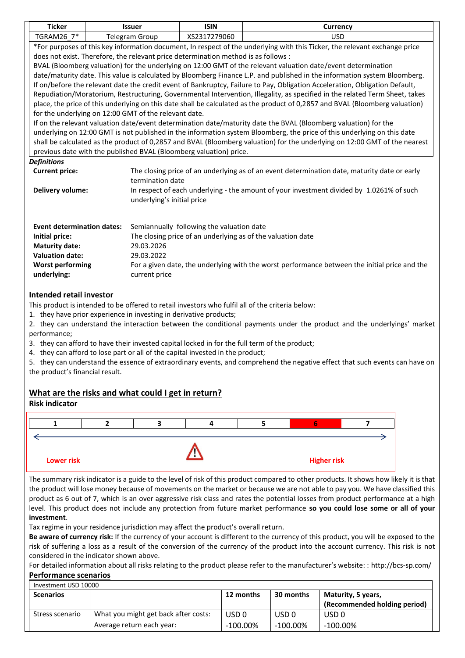| <b>Ticker</b>                                                                                                                                                                                            | <b>Issuer</b>                                                                                                               | <b>ISIN</b>                                                                              | Currency                                                                                                                     |  |  |
|----------------------------------------------------------------------------------------------------------------------------------------------------------------------------------------------------------|-----------------------------------------------------------------------------------------------------------------------------|------------------------------------------------------------------------------------------|------------------------------------------------------------------------------------------------------------------------------|--|--|
| TGRAM26 7*                                                                                                                                                                                               | Telegram Group                                                                                                              | XS2317279060                                                                             | <b>USD</b>                                                                                                                   |  |  |
| *For purposes of this key information document, In respect of the underlying with this Ticker, the relevant exchange price                                                                               |                                                                                                                             |                                                                                          |                                                                                                                              |  |  |
| does not exist. Therefore, the relevant price determination method is as follows :                                                                                                                       |                                                                                                                             |                                                                                          |                                                                                                                              |  |  |
| BVAL (Bloomberg valuation) for the underlying on 12:00 GMT of the relevant valuation date/event determination                                                                                            |                                                                                                                             |                                                                                          |                                                                                                                              |  |  |
| date/maturity date. This value is calculated by Bloomberg Finance L.P. and published in the information system Bloomberg.                                                                                |                                                                                                                             |                                                                                          |                                                                                                                              |  |  |
|                                                                                                                                                                                                          | If on/before the relevant date the credit event of Bankruptcy, Failure to Pay, Obligation Acceleration, Obligation Default, |                                                                                          |                                                                                                                              |  |  |
|                                                                                                                                                                                                          | Repudiation/Moratorium, Restructuring, Governmental Intervention, Illegality, as specified in the related Term Sheet, takes |                                                                                          |                                                                                                                              |  |  |
|                                                                                                                                                                                                          |                                                                                                                             |                                                                                          | place, the price of this underlying on this date shall be calculated as the product of 0,2857 and BVAL (Bloomberg valuation) |  |  |
| for the underlying on 12:00 GMT of the relevant date.                                                                                                                                                    |                                                                                                                             |                                                                                          |                                                                                                                              |  |  |
|                                                                                                                                                                                                          |                                                                                                                             |                                                                                          | If on the relevant valuation date/event determination date/maturity date the BVAL (Bloomberg valuation) for the              |  |  |
|                                                                                                                                                                                                          |                                                                                                                             |                                                                                          | underlying on 12:00 GMT is not published in the information system Bloomberg, the price of this underlying on this date      |  |  |
|                                                                                                                                                                                                          |                                                                                                                             |                                                                                          | shall be calculated as the product of 0,2857 and BVAL (Bloomberg valuation) for the underlying on 12:00 GMT of the nearest   |  |  |
| previous date with the published BVAL (Bloomberg valuation) price.                                                                                                                                       |                                                                                                                             |                                                                                          |                                                                                                                              |  |  |
| <b>Definitions</b>                                                                                                                                                                                       |                                                                                                                             |                                                                                          |                                                                                                                              |  |  |
| <b>Current price:</b>                                                                                                                                                                                    |                                                                                                                             |                                                                                          | The closing price of an underlying as of an event determination date, maturity date or early                                 |  |  |
|                                                                                                                                                                                                          | termination date                                                                                                            |                                                                                          |                                                                                                                              |  |  |
| Delivery volume:                                                                                                                                                                                         |                                                                                                                             | In respect of each underlying - the amount of your investment divided by 1.0261% of such |                                                                                                                              |  |  |
|                                                                                                                                                                                                          | underlying's initial price                                                                                                  |                                                                                          |                                                                                                                              |  |  |
|                                                                                                                                                                                                          |                                                                                                                             |                                                                                          |                                                                                                                              |  |  |
| <b>Event determination dates:</b>                                                                                                                                                                        |                                                                                                                             | Semiannually following the valuation date                                                |                                                                                                                              |  |  |
| Initial price:                                                                                                                                                                                           |                                                                                                                             | The closing price of an underlying as of the valuation date                              |                                                                                                                              |  |  |
| <b>Maturity date:</b>                                                                                                                                                                                    | 29.03.2026                                                                                                                  |                                                                                          |                                                                                                                              |  |  |
| <b>Valuation date:</b>                                                                                                                                                                                   | 29.03.2022                                                                                                                  |                                                                                          |                                                                                                                              |  |  |
| <b>Worst performing</b>                                                                                                                                                                                  |                                                                                                                             |                                                                                          | For a given date, the underlying with the worst performance between the initial price and the                                |  |  |
| underlying:                                                                                                                                                                                              | current price                                                                                                               |                                                                                          |                                                                                                                              |  |  |
|                                                                                                                                                                                                          |                                                                                                                             |                                                                                          |                                                                                                                              |  |  |
|                                                                                                                                                                                                          | <b>Intended retail investor</b>                                                                                             |                                                                                          |                                                                                                                              |  |  |
| This product is intended to be offered to retail investors who fulfil all of the criteria below:                                                                                                         |                                                                                                                             |                                                                                          |                                                                                                                              |  |  |
| 1. they have prior experience in investing in derivative products;                                                                                                                                       |                                                                                                                             |                                                                                          |                                                                                                                              |  |  |
|                                                                                                                                                                                                          |                                                                                                                             |                                                                                          | 2. they can understand the interaction between the conditional payments under the product and the underlyings' market        |  |  |
|                                                                                                                                                                                                          | performance;                                                                                                                |                                                                                          |                                                                                                                              |  |  |
| 3. they can afford to have their invested capital locked in for the full term of the product;<br>المعرزاء ومرمز وعايلا وزالد وبالمعربون الملاعبون وعايركم المربرون والمستحر وموارمها والمستكرم وروم رزما |                                                                                                                             |                                                                                          |                                                                                                                              |  |  |

4. they can afford to lose part or all of the capital invested in the product;

5. they can understand the essence of extraordinary events, and comprehend the negative effect that such events can have on the product's financial result.

#### **What are the risks and what could I get in return?**

# **Risk indicator 1 2 3 4 5 6 7** ←  **Lower risk All and Security Contract Contract Contract Contract Contract Contract Contract Contract Contract Contract Contract Contract Contract Contract Contract Contract Contract Contract Contract Contract Contract C**

The summary risk indicator is a guide to the level of risk of this product compared to other products. It shows how likely it is that the product will lose money because of movements on the market or because we are not able to pay you. We have classified this product as 6 out of 7, which is an over aggressive risk class and rates the potential losses from product performance at a high level. This product does not include any protection from future market performance **so you could lose some or all of your investment**.

Tax regime in your residence jurisdiction may affect the product's overall return.

**Be aware of currency risk:** If the currency of your account is different to the currency of this product, you will be exposed to the risk of suffering a loss as a result of the conversion of the currency of the product into the account currency. This risk is not considered in the indicator shown above.

For detailed information about all risks relating to the product please refer to the manufacturer's website: : http://bcs-sp.com/

**Performance scenarios**

| Investment USD 10000 |                                      |                  |                  |                              |
|----------------------|--------------------------------------|------------------|------------------|------------------------------|
| <b>Scenarios</b>     |                                      | 12 months        | 30 months        | Maturity, 5 years,           |
|                      |                                      |                  |                  | (Recommended holding period) |
| Stress scenario      | What you might get back after costs: | USD <sub>0</sub> | USD <sub>0</sub> | USD <sub>0</sub>             |
|                      | Average return each year:            | $-100.00\%$      | $-100.00\%$      | $-100.00\%$                  |